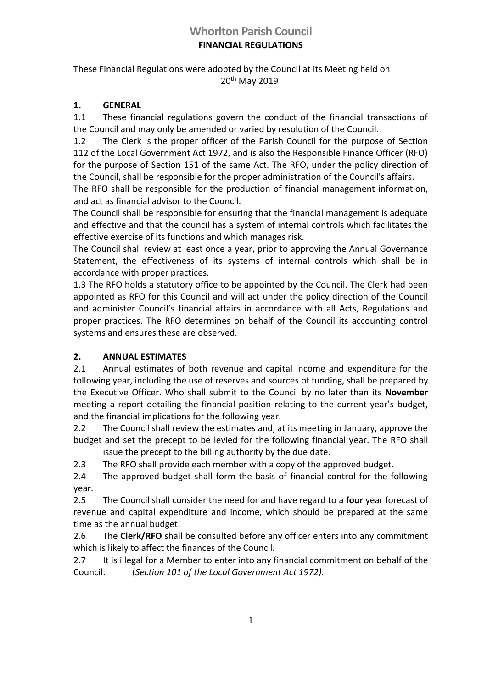# **Whorlton Parish Council FINANCIAL REGULATIONS**

## These Financial Regulations were adopted by the Council at its Meeting held on 20th May 2019

# **1. GENERAL**

1.1 These financial regulations govern the conduct of the financial transactions of the Council and may only be amended or varied by resolution of the Council.

1.2 The Clerk is the proper officer of the Parish Council for the purpose of Section 112 of the Local Government Act 1972, and is also the Responsible Finance Officer (RFO) for the purpose of Section 151 of the same Act. The RFO, under the policy direction of the Council, shall be responsible for the proper administration of the Council's affairs.

The RFO shall be responsible for the production of financial management information, and act as financial advisor to the Council.

The Council shall be responsible for ensuring that the financial management is adequate and effective and that the council has a system of internal controls which facilitates the effective exercise of its functions and which manages risk.

The Council shall review at least once a year, prior to approving the Annual Governance Statement, the effectiveness of its systems of internal controls which shall be in accordance with proper practices.

1.3 The RFO holds a statutory office to be appointed by the Council. The Clerk had been appointed as RFO for this Council and will act under the policy direction of the Council and administer Council's financial affairs in accordance with all Acts, Regulations and proper practices. The RFO determines on behalf of the Council its accounting control systems and ensures these are observed.

# **2. ANNUAL ESTIMATES**

2.1 Annual estimates of both revenue and capital income and expenditure for the following year, including the use of reserves and sources of funding, shall be prepared by the Executive Officer. Who shall submit to the Council by no later than its **November** meeting a report detailing the financial position relating to the current year's budget, and the financial implications for the following year.

2.2 The Council shall review the estimates and, at its meeting in January, approve the budget and set the precept to be levied for the following financial year. The RFO shall issue the precept to the billing authority by the due date.

2.3 The RFO shall provide each member with a copy of the approved budget.

2.4 The approved budget shall form the basis of financial control for the following year.

2.5 The Council shall consider the need for and have regard to a **four** year forecast of revenue and capital expenditure and income, which should be prepared at the same time as the annual budget.

2.6 The **Clerk/RFO** shall be consulted before any officer enters into any commitment which is likely to affect the finances of the Council.

2.7 It is illegal for a Member to enter into any financial commitment on behalf of the Council. (*Section 101 of the Local Government Act 1972).*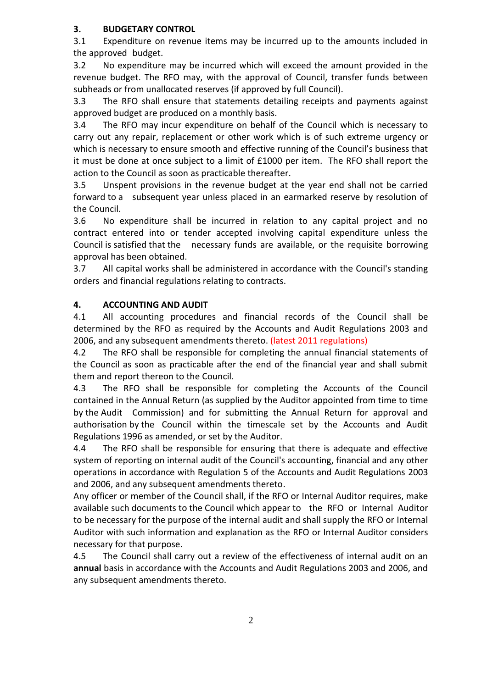## **3. BUDGETARY CONTROL**

3.1 Expenditure on revenue items may be incurred up to the amounts included in the approved budget.

3.2 No expenditure may be incurred which will exceed the amount provided in the revenue budget. The RFO may, with the approval of Council, transfer funds between subheads or from unallocated reserves (if approved by full Council).

3.3 The RFO shall ensure that statements detailing receipts and payments against approved budget are produced on a monthly basis.

3.4 The RFO may incur expenditure on behalf of the Council which is necessary to carry out any repair, replacement or other work which is of such extreme urgency or which is necessary to ensure smooth and effective running of the Council's business that it must be done at once subject to a limit of £1000 per item. The RFO shall report the action to the Council as soon as practicable thereafter.

3.5 Unspent provisions in the revenue budget at the year end shall not be carried forward to a subsequent year unless placed in an earmarked reserve by resolution of the Council.

3.6 No expenditure shall be incurred in relation to any capital project and no contract entered into or tender accepted involving capital expenditure unless the Council is satisfied that the necessary funds are available, or the requisite borrowing approval has been obtained.

3.7 All capital works shall be administered in accordance with the Council's standing orders and financial regulations relating to contracts.

# **4. ACCOUNTING AND AUDIT**

4.1 All accounting procedures and financial records of the Council shall be determined by the RFO as required by the Accounts and Audit Regulations 2003 and 2006, and any subsequent amendments thereto. (latest 2011 regulations)

4.2 The RFO shall be responsible for completing the annual financial statements of the Council as soon as practicable after the end of the financial year and shall submit them and report thereon to the Council.

4.3 The RFO shall be responsible for completing the Accounts of the Council contained in the Annual Return (as supplied by the Auditor appointed from time to time by the Audit Commission) and for submitting the Annual Return for approval and authorisation by the Council within the timescale set by the Accounts and Audit Regulations 1996 as amended, or set by the Auditor.

4.4 The RFO shall be responsible for ensuring that there is adequate and effective system of reporting on internal audit of the Council's accounting, financial and any other operations in accordance with Regulation 5 of the Accounts and Audit Regulations 2003 and 2006, and any subsequent amendments thereto.

Any officer or member of the Council shall, if the RFO or Internal Auditor requires, make available such documents to the Council which appear to the RFO or Internal Auditor to be necessary for the purpose of the internal audit and shall supply the RFO or Internal Auditor with such information and explanation as the RFO or Internal Auditor considers necessary for that purpose.

4.5 The Council shall carry out a review of the effectiveness of internal audit on an **annual** basis in accordance with the Accounts and Audit Regulations 2003 and 2006, and any subsequent amendments thereto.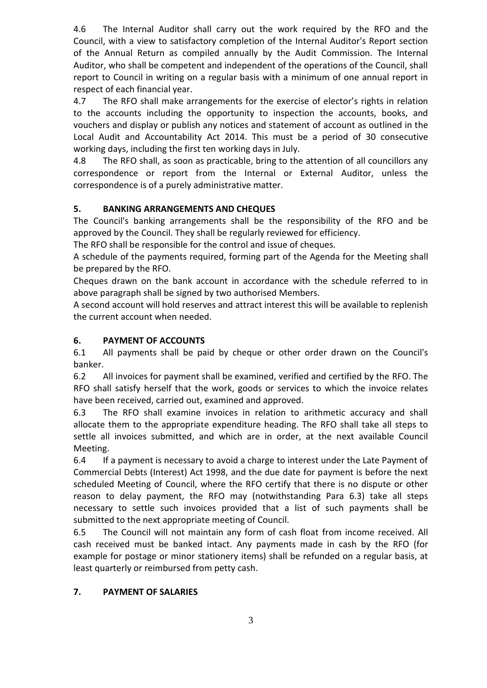4.6 The Internal Auditor shall carry out the work required by the RFO and the Council, with a view to satisfactory completion of the Internal Auditor's Report section of the Annual Return as compiled annually by the Audit Commission. The Internal Auditor, who shall be competent and independent of the operations of the Council, shall report to Council in writing on a regular basis with a minimum of one annual report in respect of each financial year.

4.7 The RFO shall make arrangements for the exercise of elector's rights in relation to the accounts including the opportunity to inspection the accounts, books, and vouchers and display or publish any notices and statement of account as outlined in the Local Audit and Accountability Act 2014. This must be a period of 30 consecutive working days, including the first ten working days in July.

4.8 The RFO shall, as soon as practicable, bring to the attention of all councillors any correspondence or report from the Internal or External Auditor, unless the correspondence is of a purely administrative matter.

## **5. BANKING ARRANGEMENTS AND CHEQUES**

The Council's banking arrangements shall be the responsibility of the RFO and be approved by the Council. They shall be regularly reviewed for efficiency.

The RFO shall be responsible for the control and issue of cheques.

A schedule of the payments required, forming part of the Agenda for the Meeting shall be prepared by the RFO.

Cheques drawn on the bank account in accordance with the schedule referred to in above paragraph shall be signed by two authorised Members.

A second account will hold reserves and attract interest this will be available to replenish the current account when needed.

## **6. PAYMENT OF ACCOUNTS**

6.1 All payments shall be paid by cheque or other order drawn on the Council's banker.

6.2 All invoices for payment shall be examined, verified and certified by the RFO. The RFO shall satisfy herself that the work, goods or services to which the invoice relates have been received, carried out, examined and approved.

6.3 The RFO shall examine invoices in relation to arithmetic accuracy and shall allocate them to the appropriate expenditure heading. The RFO shall take all steps to settle all invoices submitted, and which are in order, at the next available Council Meeting.

6.4 If a payment is necessary to avoid a charge to interest under the Late Payment of Commercial Debts (Interest) Act 1998, and the due date for payment is before the next scheduled Meeting of Council, where the RFO certify that there is no dispute or other reason to delay payment, the RFO may (notwithstanding Para 6.3) take all steps necessary to settle such invoices provided that a list of such payments shall be submitted to the next appropriate meeting of Council.

6.5 The Council will not maintain any form of cash float from income received. All cash received must be banked intact. Any payments made in cash by the RFO (for example for postage or minor stationery items) shall be refunded on a regular basis, at least quarterly or reimbursed from petty cash.

### **7. PAYMENT OF SALARIES**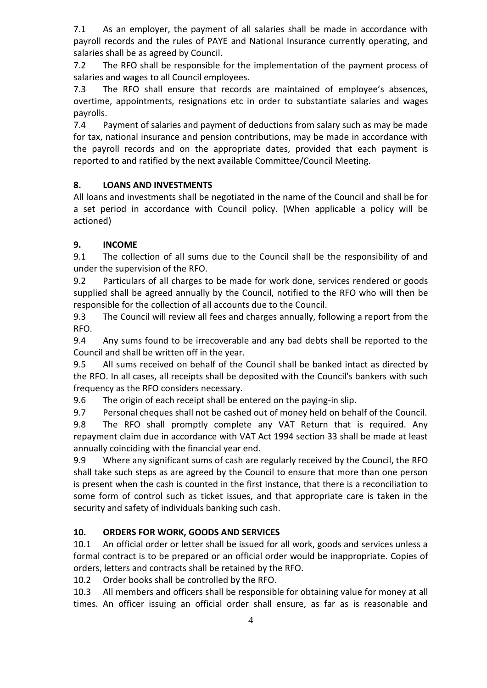7.1 As an employer, the payment of all salaries shall be made in accordance with payroll records and the rules of PAYE and National Insurance currently operating, and salaries shall be as agreed by Council.

7.2 The RFO shall be responsible for the implementation of the payment process of salaries and wages to all Council employees.

7.3 The RFO shall ensure that records are maintained of employee's absences, overtime, appointments, resignations etc in order to substantiate salaries and wages payrolls.

7.4 Payment of salaries and payment of deductions from salary such as may be made for tax, national insurance and pension contributions, may be made in accordance with the payroll records and on the appropriate dates, provided that each payment is reported to and ratified by the next available Committee/Council Meeting.

# **8. LOANS AND INVESTMENTS**

All loans and investments shall be negotiated in the name of the Council and shall be for a set period in accordance with Council policy. (When applicable a policy will be actioned)

# **9. INCOME**

9.1 The collection of all sums due to the Council shall be the responsibility of and under the supervision of the RFO.

9.2 Particulars of all charges to be made for work done, services rendered or goods supplied shall be agreed annually by the Council, notified to the RFO who will then be responsible for the collection of all accounts due to the Council.

9.3 The Council will review all fees and charges annually, following a report from the RFO.

9.4 Any sums found to be irrecoverable and any bad debts shall be reported to the Council and shall be written off in the year.

9.5 All sums received on behalf of the Council shall be banked intact as directed by the RFO. In all cases, all receipts shall be deposited with the Council's bankers with such frequency as the RFO considers necessary.

9.6 The origin of each receipt shall be entered on the paying-in slip.

9.7 Personal cheques shall not be cashed out of money held on behalf of the Council.

9.8 The RFO shall promptly complete any VAT Return that is required. Any repayment claim due in accordance with VAT Act 1994 section 33 shall be made at least annually coinciding with the financial year end.

9.9 Where any significant sums of cash are regularly received by the Council, the RFO shall take such steps as are agreed by the Council to ensure that more than one person is present when the cash is counted in the first instance, that there is a reconciliation to some form of control such as ticket issues, and that appropriate care is taken in the security and safety of individuals banking such cash.

# **10. ORDERS FOR WORK, GOODS AND SERVICES**

10.1 An official order or letter shall be issued for all work, goods and services unless a formal contract is to be prepared or an official order would be inappropriate. Copies of orders, letters and contracts shall be retained by the RFO.

10.2 Order books shall be controlled by the RFO.

10.3 All members and officers shall be responsible for obtaining value for money at all times. An officer issuing an official order shall ensure, as far as is reasonable and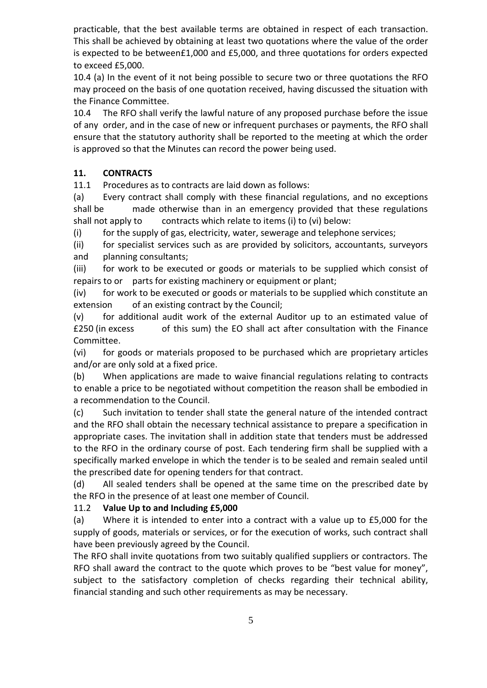practicable, that the best available terms are obtained in respect of each transaction. This shall be achieved by obtaining at least two quotations where the value of the order is expected to be between£1,000 and £5,000, and three quotations for orders expected to exceed £5,000.

10.4 (a) In the event of it not being possible to secure two or three quotations the RFO may proceed on the basis of one quotation received, having discussed the situation with the Finance Committee.

10.4 The RFO shall verify the lawful nature of any proposed purchase before the issue of any order, and in the case of new or infrequent purchases or payments, the RFO shall ensure that the statutory authority shall be reported to the meeting at which the order is approved so that the Minutes can record the power being used.

### **11. CONTRACTS**

11.1 Procedures as to contracts are laid down as follows:

(a) Every contract shall comply with these financial regulations, and no exceptions shall be made otherwise than in an emergency provided that these regulations shall not apply to contracts which relate to items (i) to (vi) below:

(i) for the supply of gas, electricity, water, sewerage and telephone services;

(ii) for specialist services such as are provided by solicitors, accountants, surveyors and planning consultants;

(iii) for work to be executed or goods or materials to be supplied which consist of repairs to or parts for existing machinery or equipment or plant;

(iv) for work to be executed or goods or materials to be supplied which constitute an extension of an existing contract by the Council;

(v) for additional audit work of the external Auditor up to an estimated value of £250 (in excess of this sum) the EO shall act after consultation with the Finance Committee.

(vi) for goods or materials proposed to be purchased which are proprietary articles and/or are only sold at a fixed price.

(b) When applications are made to waive financial regulations relating to contracts to enable a price to be negotiated without competition the reason shall be embodied in a recommendation to the Council.

(c) Such invitation to tender shall state the general nature of the intended contract and the RFO shall obtain the necessary technical assistance to prepare a specification in appropriate cases. The invitation shall in addition state that tenders must be addressed to the RFO in the ordinary course of post. Each tendering firm shall be supplied with a specifically marked envelope in which the tender is to be sealed and remain sealed until the prescribed date for opening tenders for that contract.

(d) All sealed tenders shall be opened at the same time on the prescribed date by the RFO in the presence of at least one member of Council.

### 11.2 **Value Up to and Including £5,000**

(a) Where it is intended to enter into a contract with a value up to £5,000 for the supply of goods, materials or services, or for the execution of works, such contract shall have been previously agreed by the Council.

The RFO shall invite quotations from two suitably qualified suppliers or contractors. The RFO shall award the contract to the quote which proves to be "best value for money", subject to the satisfactory completion of checks regarding their technical ability, financial standing and such other requirements as may be necessary.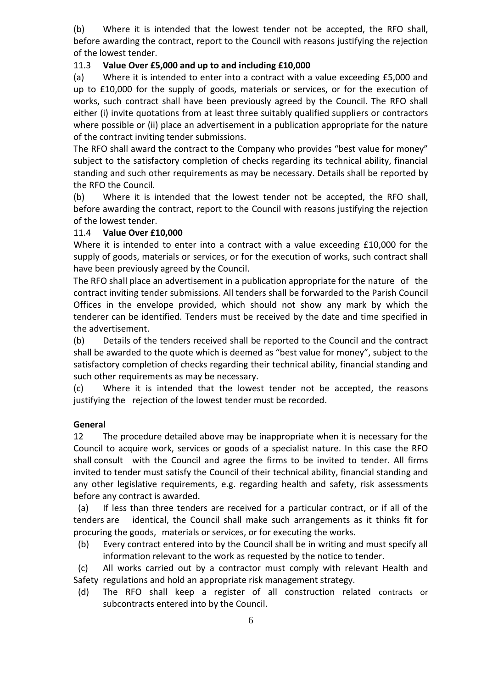(b) Where it is intended that the lowest tender not be accepted, the RFO shall, before awarding the contract, report to the Council with reasons justifying the rejection of the lowest tender.

#### 11.3 **Value Over £5,000 and up to and including £10,000**

(a) Where it is intended to enter into a contract with a value exceeding £5,000 and up to £10,000 for the supply of goods, materials or services, or for the execution of works, such contract shall have been previously agreed by the Council. The RFO shall either (i) invite quotations from at least three suitably qualified suppliers or contractors where possible or (ii) place an advertisement in a publication appropriate for the nature of the contract inviting tender submissions.

The RFO shall award the contract to the Company who provides "best value for money" subject to the satisfactory completion of checks regarding its technical ability, financial standing and such other requirements as may be necessary. Details shall be reported by the RFO the Council.

(b) Where it is intended that the lowest tender not be accepted, the RFO shall, before awarding the contract, report to the Council with reasons justifying the rejection of the lowest tender.

#### 11.4 **Value Over £10,000**

Where it is intended to enter into a contract with a value exceeding £10,000 for the supply of goods, materials or services, or for the execution of works, such contract shall have been previously agreed by the Council.

The RFO shall place an advertisement in a publication appropriate for the nature of the contract inviting tender submissions. All tenders shall be forwarded to the Parish Council Offices in the envelope provided, which should not show any mark by which the tenderer can be identified. Tenders must be received by the date and time specified in the advertisement.

(b) Details of the tenders received shall be reported to the Council and the contract shall be awarded to the quote which is deemed as "best value for money", subject to the satisfactory completion of checks regarding their technical ability, financial standing and such other requirements as may be necessary.

(c) Where it is intended that the lowest tender not be accepted, the reasons justifying the rejection of the lowest tender must be recorded.

#### **General**

12 The procedure detailed above may be inappropriate when it is necessary for the Council to acquire work, services or goods of a specialist nature. In this case the RFO shall consult with the Council and agree the firms to be invited to tender. All firms invited to tender must satisfy the Council of their technical ability, financial standing and any other legislative requirements, e.g. regarding health and safety, risk assessments before any contract is awarded.

 (a) If less than three tenders are received for a particular contract, or if all of the tenders are identical, the Council shall make such arrangements as it thinks fit for procuring the goods, materials or services, or for executing the works.

 (b) Every contract entered into by the Council shall be in writing and must specify all information relevant to the work as requested by the notice to tender.

 (c) All works carried out by a contractor must comply with relevant Health and Safety regulations and hold an appropriate risk management strategy.

 (d) The RFO shall keep a register of all construction related contracts or subcontracts entered into by the Council.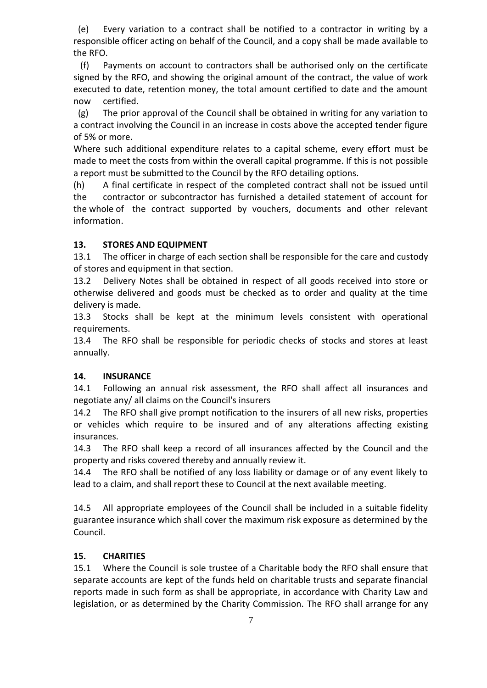(e) Every variation to a contract shall be notified to a contractor in writing by a responsible officer acting on behalf of the Council, and a copy shall be made available to the RFO.

 (f) Payments on account to contractors shall be authorised only on the certificate signed by the RFO, and showing the original amount of the contract, the value of work executed to date, retention money, the total amount certified to date and the amount now certified.

 (g) The prior approval of the Council shall be obtained in writing for any variation to a contract involving the Council in an increase in costs above the accepted tender figure of 5% or more.

Where such additional expenditure relates to a capital scheme, every effort must be made to meet the costs from within the overall capital programme. If this is not possible a report must be submitted to the Council by the RFO detailing options.

(h) A final certificate in respect of the completed contract shall not be issued until the contractor or subcontractor has furnished a detailed statement of account for the whole of the contract supported by vouchers, documents and other relevant information.

### **13. STORES AND EQUIPMENT**

13.1 The officer in charge of each section shall be responsible for the care and custody of stores and equipment in that section.

13.2 Delivery Notes shall be obtained in respect of all goods received into store or otherwise delivered and goods must be checked as to order and quality at the time delivery is made.

13.3 Stocks shall be kept at the minimum levels consistent with operational requirements.

13.4 The RFO shall be responsible for periodic checks of stocks and stores at least annually.

### **14. INSURANCE**

14.1 Following an annual risk assessment, the RFO shall affect all insurances and negotiate any/ all claims on the Council's insurers

14.2 The RFO shall give prompt notification to the insurers of all new risks, properties or vehicles which require to be insured and of any alterations affecting existing insurances.

14.3 The RFO shall keep a record of all insurances affected by the Council and the property and risks covered thereby and annually review it.

14.4 The RFO shall be notified of any loss liability or damage or of any event likely to lead to a claim, and shall report these to Council at the next available meeting.

14.5 All appropriate employees of the Council shall be included in a suitable fidelity guarantee insurance which shall cover the maximum risk exposure as determined by the Council.

### **15. CHARITIES**

15.1 Where the Council is sole trustee of a Charitable body the RFO shall ensure that separate accounts are kept of the funds held on charitable trusts and separate financial reports made in such form as shall be appropriate, in accordance with Charity Law and legislation, or as determined by the Charity Commission. The RFO shall arrange for any